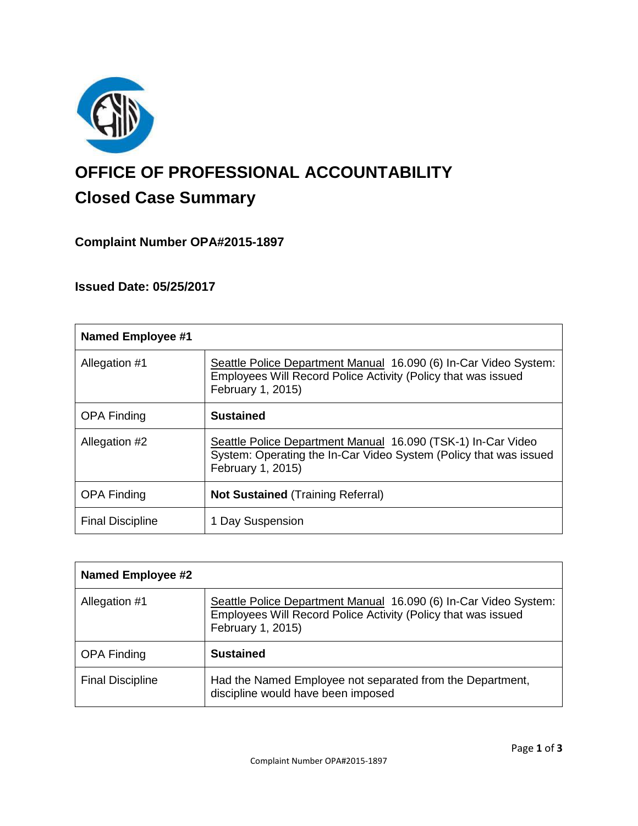

# **OFFICE OF PROFESSIONAL ACCOUNTABILITY Closed Case Summary**

# **Complaint Number OPA#2015-1897**

# **Issued Date: 05/25/2017**

| <b>Named Employee #1</b> |                                                                                                                                                        |
|--------------------------|--------------------------------------------------------------------------------------------------------------------------------------------------------|
| Allegation #1            | Seattle Police Department Manual 16.090 (6) In-Car Video System:<br>Employees Will Record Police Activity (Policy that was issued<br>February 1, 2015) |
| <b>OPA Finding</b>       | <b>Sustained</b>                                                                                                                                       |
| Allegation #2            | Seattle Police Department Manual 16.090 (TSK-1) In-Car Video<br>System: Operating the In-Car Video System (Policy that was issued<br>February 1, 2015) |
| <b>OPA Finding</b>       | <b>Not Sustained (Training Referral)</b>                                                                                                               |
| <b>Final Discipline</b>  | 1 Day Suspension                                                                                                                                       |

| <b>Named Employee #2</b> |                                                                                                                                                        |
|--------------------------|--------------------------------------------------------------------------------------------------------------------------------------------------------|
| Allegation #1            | Seattle Police Department Manual 16.090 (6) In-Car Video System:<br>Employees Will Record Police Activity (Policy that was issued<br>February 1, 2015) |
| <b>OPA Finding</b>       | <b>Sustained</b>                                                                                                                                       |
| <b>Final Discipline</b>  | Had the Named Employee not separated from the Department,<br>discipline would have been imposed                                                        |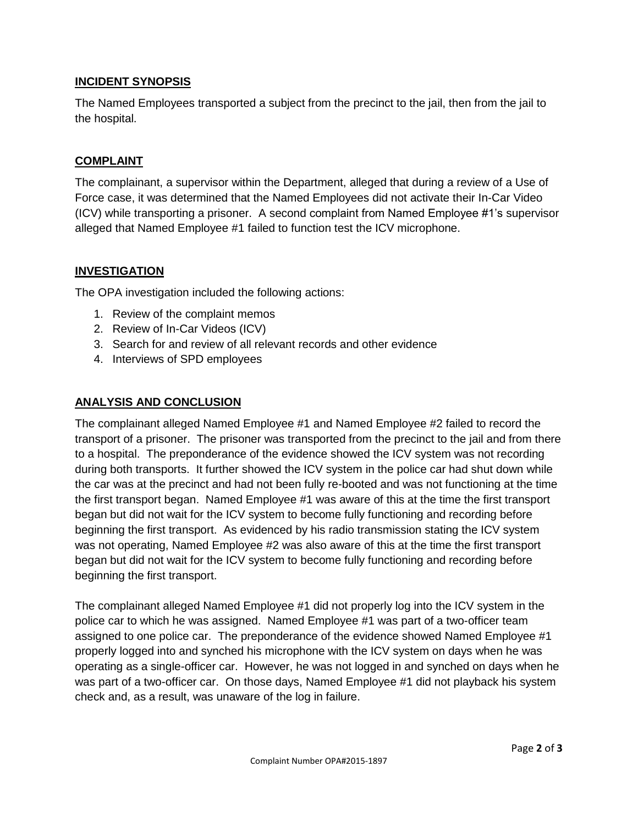## **INCIDENT SYNOPSIS**

The Named Employees transported a subject from the precinct to the jail, then from the jail to the hospital.

#### **COMPLAINT**

The complainant, a supervisor within the Department, alleged that during a review of a Use of Force case, it was determined that the Named Employees did not activate their In-Car Video (ICV) while transporting a prisoner. A second complaint from Named Employee #1's supervisor alleged that Named Employee #1 failed to function test the ICV microphone.

## **INVESTIGATION**

The OPA investigation included the following actions:

- 1. Review of the complaint memos
- 2. Review of In-Car Videos (ICV)
- 3. Search for and review of all relevant records and other evidence
- 4. Interviews of SPD employees

#### **ANALYSIS AND CONCLUSION**

The complainant alleged Named Employee #1 and Named Employee #2 failed to record the transport of a prisoner. The prisoner was transported from the precinct to the jail and from there to a hospital. The preponderance of the evidence showed the ICV system was not recording during both transports. It further showed the ICV system in the police car had shut down while the car was at the precinct and had not been fully re-booted and was not functioning at the time the first transport began. Named Employee #1 was aware of this at the time the first transport began but did not wait for the ICV system to become fully functioning and recording before beginning the first transport. As evidenced by his radio transmission stating the ICV system was not operating, Named Employee #2 was also aware of this at the time the first transport began but did not wait for the ICV system to become fully functioning and recording before beginning the first transport.

The complainant alleged Named Employee #1 did not properly log into the ICV system in the police car to which he was assigned. Named Employee #1 was part of a two-officer team assigned to one police car. The preponderance of the evidence showed Named Employee #1 properly logged into and synched his microphone with the ICV system on days when he was operating as a single-officer car. However, he was not logged in and synched on days when he was part of a two-officer car. On those days, Named Employee #1 did not playback his system check and, as a result, was unaware of the log in failure.